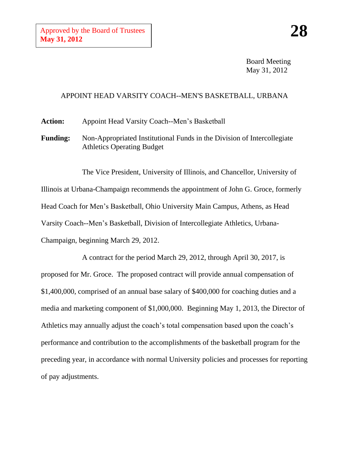Board Meeting May 31, 2012

## APPOINT HEAD VARSITY COACH--MEN'S BASKETBALL, URBANA

**Action:** Appoint Head Varsity Coach--Men's Basketball

**Funding:** Non-Appropriated Institutional Funds in the Division of Intercollegiate Athletics Operating Budget

The Vice President, University of Illinois, and Chancellor, University of Illinois at Urbana-Champaign recommends the appointment of John G. Groce, formerly Head Coach for Men's Basketball, Ohio University Main Campus, Athens, as Head Varsity Coach--Men's Basketball, Division of Intercollegiate Athletics, Urbana-Champaign, beginning March 29, 2012.

A contract for the period March 29, 2012, through April 30, 2017, is proposed for Mr. Groce. The proposed contract will provide annual compensation of \$1,400,000, comprised of an annual base salary of \$400,000 for coaching duties and a media and marketing component of \$1,000,000. Beginning May 1, 2013, the Director of Athletics may annually adjust the coach's total compensation based upon the coach's performance and contribution to the accomplishments of the basketball program for the preceding year, in accordance with normal University policies and processes for reporting of pay adjustments.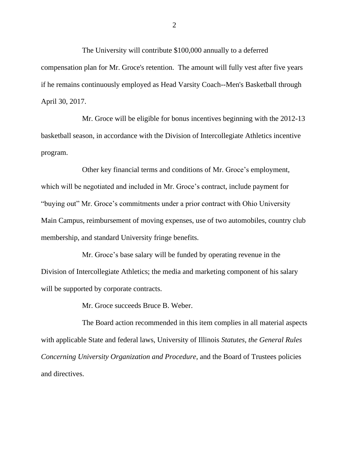The University will contribute \$100,000 annually to a deferred compensation plan for Mr. Groce's retention. The amount will fully vest after five years if he remains continuously employed as Head Varsity Coach--Men's Basketball through April 30, 2017.

Mr. Groce will be eligible for bonus incentives beginning with the 2012-13 basketball season, in accordance with the Division of Intercollegiate Athletics incentive program.

Other key financial terms and conditions of Mr. Groce's employment, which will be negotiated and included in Mr. Groce's contract, include payment for "buying out" Mr. Groce's commitments under a prior contract with Ohio University Main Campus, reimbursement of moving expenses, use of two automobiles, country club membership, and standard University fringe benefits.

Mr. Groce's base salary will be funded by operating revenue in the Division of Intercollegiate Athletics; the media and marketing component of his salary will be supported by corporate contracts.

Mr. Groce succeeds Bruce B. Weber.

The Board action recommended in this item complies in all material aspects with applicable State and federal laws, University of Illinois *Statutes, the General Rules Concerning University Organization and Procedure*, and the Board of Trustees policies and directives.